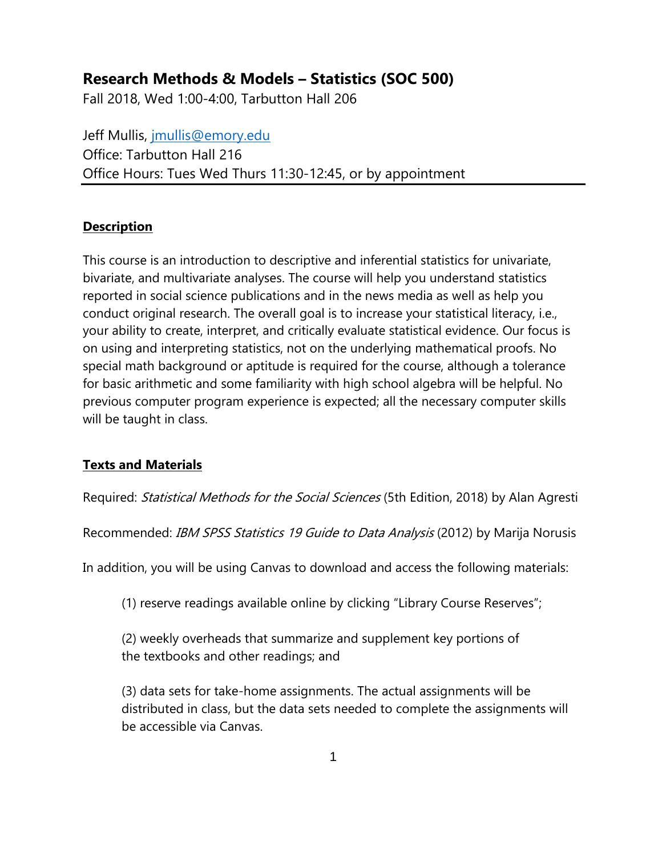# **Research Methods & Models – Statistics (SOC 500)**

Fall 2018, Wed 1:00-4:00, Tarbutton Hall 206

Jeff Mullis, [jmullis@emory.edu](mailto:jmullis@emory.edu) Office: Tarbutton Hall 216 Office Hours: Tues Wed Thurs 11:30-12:45, or by appointment

#### **Description**

This course is an introduction to descriptive and inferential statistics for univariate, bivariate, and multivariate analyses. The course will help you understand statistics reported in social science publications and in the news media as well as help you conduct original research. The overall goal is to increase your statistical literacy, i.e., your ability to create, interpret, and critically evaluate statistical evidence. Our focus is on using and interpreting statistics, not on the underlying mathematical proofs. No special math background or aptitude is required for the course, although a tolerance for basic arithmetic and some familiarity with high school algebra will be helpful. No previous computer program experience is expected; all the necessary computer skills will be taught in class.

### **Texts and Materials**

Required: Statistical Methods for the Social Sciences (5th Edition, 2018) by Alan Agresti

Recommended: IBM SPSS Statistics 19 Guide to Data Analysis (2012) by Marija Norusis

In addition, you will be using Canvas to download and access the following materials:

(1) reserve readings available online by clicking "Library Course Reserves";

(2) weekly overheads that summarize and supplement key portions of the textbooks and other readings; and

(3) data sets for take-home assignments. The actual assignments will be distributed in class, but the data sets needed to complete the assignments will be accessible via Canvas.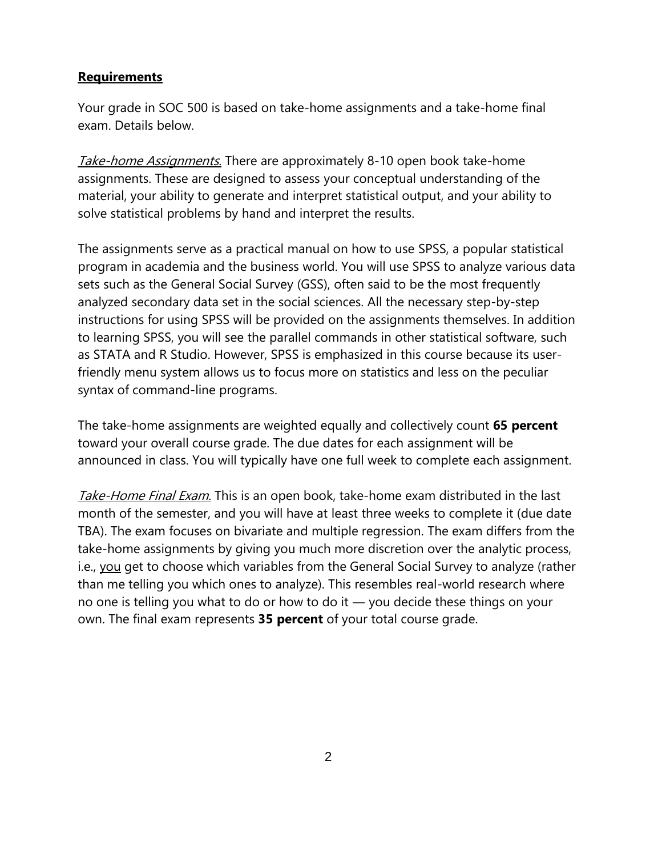#### **Requirements**

Your grade in SOC 500 is based on take-home assignments and a take-home final exam. Details below.

Take-home Assignments. There are approximately 8-10 open book take-home assignments. These are designed to assess your conceptual understanding of the material, your ability to generate and interpret statistical output, and your ability to solve statistical problems by hand and interpret the results.

The assignments serve as a practical manual on how to use SPSS, a popular statistical program in academia and the business world. You will use SPSS to analyze various data sets such as the General Social Survey (GSS), often said to be the most frequently analyzed secondary data set in the social sciences. All the necessary step-by-step instructions for using SPSS will be provided on the assignments themselves. In addition to learning SPSS, you will see the parallel commands in other statistical software, such as STATA and R Studio. However, SPSS is emphasized in this course because its userfriendly menu system allows us to focus more on statistics and less on the peculiar syntax of command-line programs.

The take-home assignments are weighted equally and collectively count **65 percent** toward your overall course grade. The due dates for each assignment will be announced in class. You will typically have one full week to complete each assignment.

Take-Home Final Exam. This is an open book, take-home exam distributed in the last month of the semester, and you will have at least three weeks to complete it (due date TBA). The exam focuses on bivariate and multiple regression. The exam differs from the take-home assignments by giving you much more discretion over the analytic process, i.e., you get to choose which variables from the General Social Survey to analyze (rather than me telling you which ones to analyze). This resembles real-world research where no one is telling you what to do or how to do it ― you decide these things on your own. The final exam represents **35 percent** of your total course grade.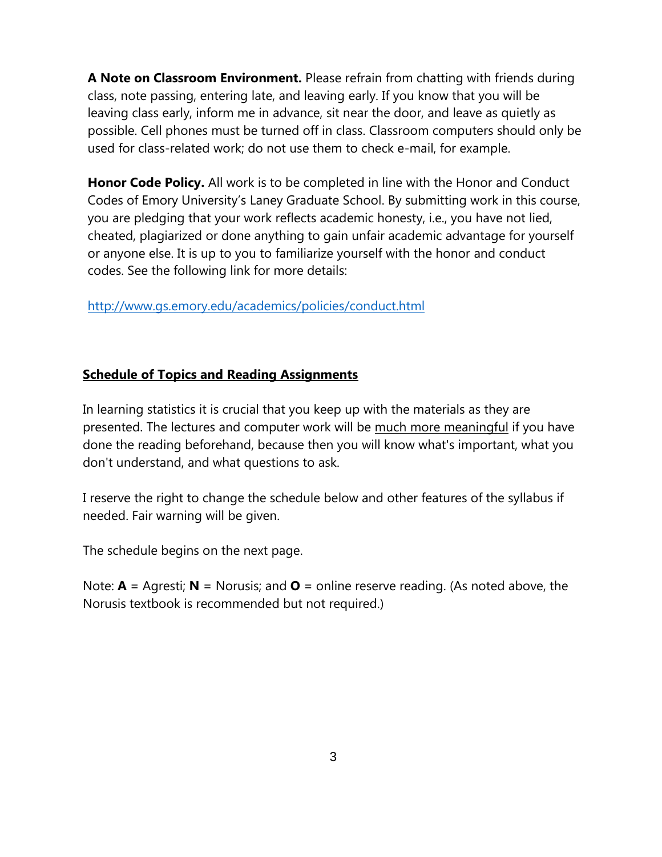**A Note on Classroom Environment.** Please refrain from chatting with friends during class, note passing, entering late, and leaving early. If you know that you will be leaving class early, inform me in advance, sit near the door, and leave as quietly as possible. Cell phones must be turned off in class. Classroom computers should only be used for class-related work; do not use them to check e-mail, for example.

**Honor Code Policy.** All work is to be completed in line with the Honor and Conduct Codes of Emory University's Laney Graduate School. By submitting work in this course, you are pledging that your work reflects academic honesty, i.e., you have not lied, cheated, plagiarized or done anything to gain unfair academic advantage for yourself or anyone else. It is up to you to familiarize yourself with the honor and conduct codes. See the following link for more details:

<http://www.gs.emory.edu/academics/policies/conduct.html>

### **Schedule of Topics and Reading Assignments**

In learning statistics it is crucial that you keep up with the materials as they are presented. The lectures and computer work will be much more meaningful if you have done the reading beforehand, because then you will know what's important, what you don't understand, and what questions to ask.

I reserve the right to change the schedule below and other features of the syllabus if needed. Fair warning will be given.

The schedule begins on the next page.

Note: **A** = Agresti; **N** = Norusis; and **O** = online reserve reading. (As noted above, the Norusis textbook is recommended but not required.)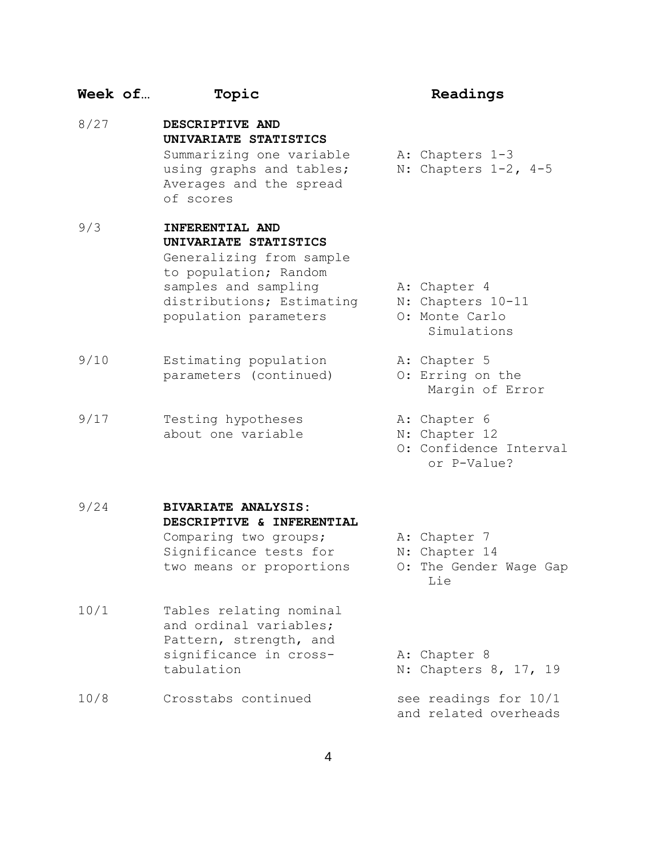## **Week of… Topic Readings**  8/27 **DESCRIPTIVE AND UNIVARIATE STATISTICS** Summarizing one variable A: Chapters 1-3 using graphs and tables; N: Chapters 1-2**,** 4-5 Averages and the spread

9/3 **INFERENTIAL AND UNIVARIATE STATISTICS** Generalizing from sample to population; Random samples and sampling The A: Chapter 4 distributions; Estimating N: Chapters 10-11 population parameters O: Monte Carlo

of scores

- 9/10 Estimating population A: Chapter 5 parameters (continued) O: Erring on the
- 9/17 Testing hypotheses A: Chapter 6 about one variable N: Chapter 12

- 
- 
- Simulations
- 
- Margin of Error
- 
- 
- O: Confidence Interval or P-Value?

9/24 **BIVARIATE ANALYSIS: DESCRIPTIVE & INFERENTIAL**  Comparing two groups; A: Chapter 7 Significance tests for M: Chapter 14

two means or proportions O: The Gender Wage Gap Lie

- 10/1 Tables relating nominal and ordinal variables; Pattern, strength, and significance in cross-<br>
A: Chapter 8 tabulation N: Chapters 8, 17, 19
- 10/8 Crosstabs continued see readings for 10/1 and related overheads